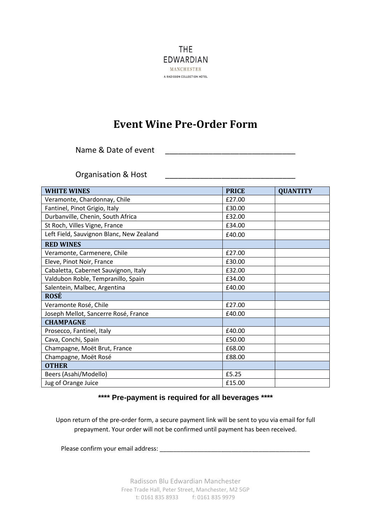

## **Event Wine Pre-Order Form**

Name & Date of event

Organisation & Host

| <b>WHITE WINES</b>                       | <b>PRICE</b> | <b>QUANTITY</b> |
|------------------------------------------|--------------|-----------------|
| Veramonte, Chardonnay, Chile             | £27.00       |                 |
| Fantinel, Pinot Grigio, Italy            | £30.00       |                 |
| Durbanville, Chenin, South Africa        | £32.00       |                 |
| St Roch, Villes Vigne, France            | £34.00       |                 |
| Left Field, Sauvignon Blanc, New Zealand | £40.00       |                 |
| <b>RED WINES</b>                         |              |                 |
| Veramonte, Carmenere, Chile              | £27.00       |                 |
| Eleve, Pinot Noir, France                | £30.00       |                 |
| Cabaletta, Cabernet Sauvignon, Italy     | £32.00       |                 |
| Valdubon Roble, Tempranillo, Spain       | £34.00       |                 |
| Salentein, Malbec, Argentina             | £40.00       |                 |
| <b>ROSÉ</b>                              |              |                 |
| Veramonte Rosé, Chile                    | £27.00       |                 |
| Joseph Mellot, Sancerre Rosé, France     | £40.00       |                 |
| <b>CHAMPAGNE</b>                         |              |                 |
| Prosecco, Fantinel, Italy                | £40.00       |                 |
| Cava, Conchi, Spain                      | £50.00       |                 |
| Champagne, Moët Brut, France             | £68.00       |                 |
| Champagne, Moët Rosé                     | £88.00       |                 |
| <b>OTHER</b>                             |              |                 |
| Beers (Asahi/Modello)                    | £5.25        |                 |
| Jug of Orange Juice                      | £15.00       |                 |

## **\*\*\*\* Pre-payment is required for all beverages \*\*\*\***

Upon return of the pre-order form, a secure payment link will be sent to you via email for full prepayment. Your order will not be confirmed until payment has been received.

Please confirm your email address: **We also confirmed as a set of the set of the set of the set of the set of the set of the set of the set of the set of the set of the set of the set of the set of the set of the set of th**